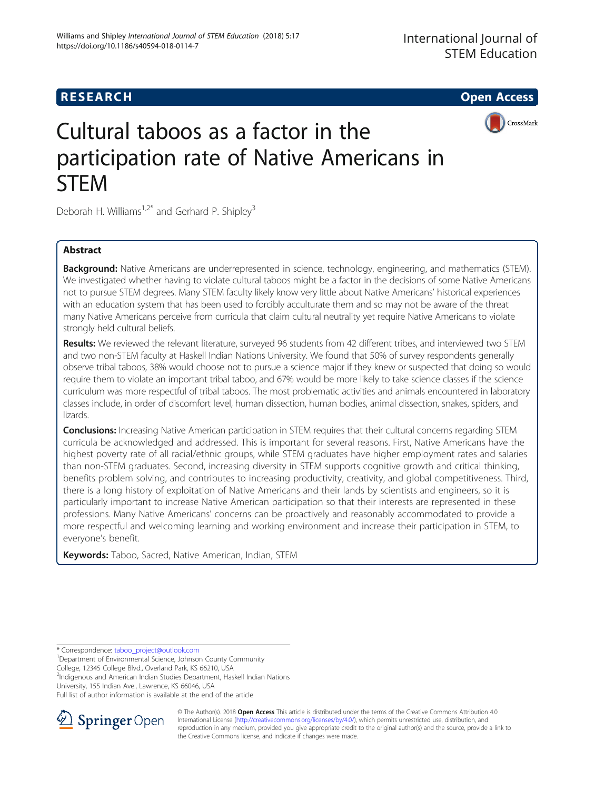## **RESEARCH CHE Open Access**





# Cultural taboos as a factor in the participation rate of Native Americans in **STEM**

Deborah H. Williams<sup>1,2\*</sup> and Gerhard P. Shipley<sup>3</sup>

## Abstract

Background: Native Americans are underrepresented in science, technology, engineering, and mathematics (STEM). We investigated whether having to violate cultural taboos might be a factor in the decisions of some Native Americans not to pursue STEM degrees. Many STEM faculty likely know very little about Native Americans' historical experiences with an education system that has been used to forcibly acculturate them and so may not be aware of the threat many Native Americans perceive from curricula that claim cultural neutrality yet require Native Americans to violate strongly held cultural beliefs.

Results: We reviewed the relevant literature, surveyed 96 students from 42 different tribes, and interviewed two STEM and two non-STEM faculty at Haskell Indian Nations University. We found that 50% of survey respondents generally observe tribal taboos, 38% would choose not to pursue a science major if they knew or suspected that doing so would require them to violate an important tribal taboo, and 67% would be more likely to take science classes if the science curriculum was more respectful of tribal taboos. The most problematic activities and animals encountered in laboratory classes include, in order of discomfort level, human dissection, human bodies, animal dissection, snakes, spiders, and lizards.

Conclusions: Increasing Native American participation in STEM requires that their cultural concerns regarding STEM curricula be acknowledged and addressed. This is important for several reasons. First, Native Americans have the highest poverty rate of all racial/ethnic groups, while STEM graduates have higher employment rates and salaries than non-STEM graduates. Second, increasing diversity in STEM supports cognitive growth and critical thinking, benefits problem solving, and contributes to increasing productivity, creativity, and global competitiveness. Third, there is a long history of exploitation of Native Americans and their lands by scientists and engineers, so it is particularly important to increase Native American participation so that their interests are represented in these professions. Many Native Americans' concerns can be proactively and reasonably accommodated to provide a more respectful and welcoming learning and working environment and increase their participation in STEM, to everyone's benefit.

Keywords: Taboo, Sacred, Native American, Indian, STEM

College, 12345 College Blvd., Overland Park, KS 66210, USA

2 Indigenous and American Indian Studies Department, Haskell Indian Nations University, 155 Indian Ave., Lawrence, KS 66046, USA

Full list of author information is available at the end of the article



© The Author(s). 2018 Open Access This article is distributed under the terms of the Creative Commons Attribution 4.0 International License ([http://creativecommons.org/licenses/by/4.0/\)](http://creativecommons.org/licenses/by/4.0/), which permits unrestricted use, distribution, and reproduction in any medium, provided you give appropriate credit to the original author(s) and the source, provide a link to the Creative Commons license, and indicate if changes were made.

<sup>\*</sup> Correspondence: [taboo\\_project@outlook.com](mailto:taboo_project@outlook.com) <sup>1</sup>

<sup>&</sup>lt;sup>1</sup>Department of Environmental Science, Johnson County Community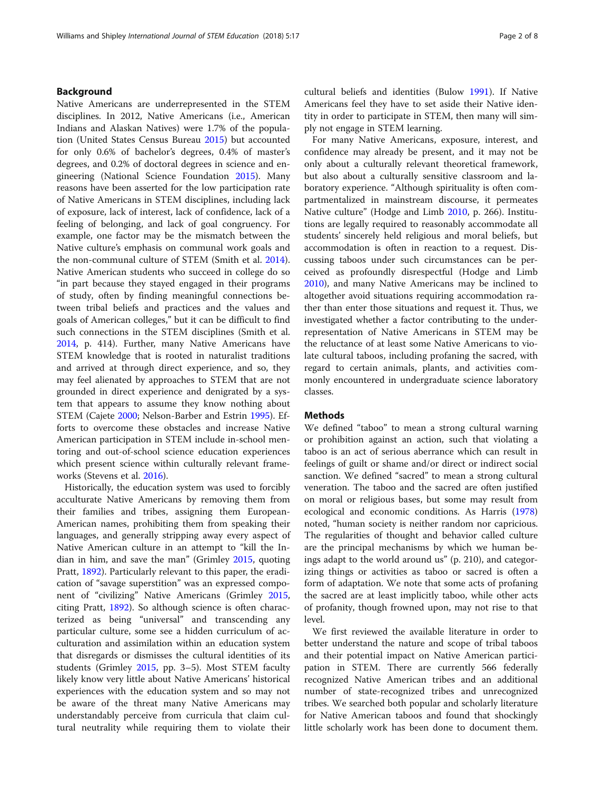## Background

Native Americans are underrepresented in the STEM disciplines. In 2012, Native Americans (i.e., American Indians and Alaskan Natives) were 1.7% of the population (United States Census Bureau [2015\)](#page-7-0) but accounted for only 0.6% of bachelor's degrees, 0.4% of master's degrees, and 0.2% of doctoral degrees in science and engineering (National Science Foundation [2015\)](#page-7-0). Many reasons have been asserted for the low participation rate of Native Americans in STEM disciplines, including lack of exposure, lack of interest, lack of confidence, lack of a feeling of belonging, and lack of goal congruency. For example, one factor may be the mismatch between the Native culture's emphasis on communal work goals and the non-communal culture of STEM (Smith et al. [2014](#page-7-0)). Native American students who succeed in college do so "in part because they stayed engaged in their programs of study, often by finding meaningful connections between tribal beliefs and practices and the values and goals of American colleges," but it can be difficult to find such connections in the STEM disciplines (Smith et al. [2014](#page-7-0), p. 414). Further, many Native Americans have STEM knowledge that is rooted in naturalist traditions and arrived at through direct experience, and so, they may feel alienated by approaches to STEM that are not grounded in direct experience and denigrated by a system that appears to assume they know nothing about STEM (Cajete [2000](#page-7-0); Nelson-Barber and Estrin [1995](#page-7-0)). Efforts to overcome these obstacles and increase Native American participation in STEM include in-school mentoring and out-of-school science education experiences which present science within culturally relevant frameworks (Stevens et al. [2016](#page-7-0)).

Historically, the education system was used to forcibly acculturate Native Americans by removing them from their families and tribes, assigning them European-American names, prohibiting them from speaking their languages, and generally stripping away every aspect of Native American culture in an attempt to "kill the Indian in him, and save the man" (Grimley [2015](#page-7-0), quoting Pratt, [1892](#page-7-0)). Particularly relevant to this paper, the eradication of "savage superstition" was an expressed component of "civilizing" Native Americans (Grimley [2015](#page-7-0), citing Pratt, [1892](#page-7-0)). So although science is often characterized as being "universal" and transcending any particular culture, some see a hidden curriculum of acculturation and assimilation within an education system that disregards or dismisses the cultural identities of its students (Grimley [2015](#page-7-0), pp. 3–5). Most STEM faculty likely know very little about Native Americans' historical experiences with the education system and so may not be aware of the threat many Native Americans may understandably perceive from curricula that claim cultural neutrality while requiring them to violate their cultural beliefs and identities (Bulow [1991\)](#page-7-0). If Native Americans feel they have to set aside their Native identity in order to participate in STEM, then many will simply not engage in STEM learning.

For many Native Americans, exposure, interest, and confidence may already be present, and it may not be only about a culturally relevant theoretical framework, but also about a culturally sensitive classroom and laboratory experience. "Although spirituality is often compartmentalized in mainstream discourse, it permeates Native culture" (Hodge and Limb [2010,](#page-7-0) p. 266). Institutions are legally required to reasonably accommodate all students' sincerely held religious and moral beliefs, but accommodation is often in reaction to a request. Discussing taboos under such circumstances can be perceived as profoundly disrespectful (Hodge and Limb [2010](#page-7-0)), and many Native Americans may be inclined to altogether avoid situations requiring accommodation rather than enter those situations and request it. Thus, we investigated whether a factor contributing to the underrepresentation of Native Americans in STEM may be the reluctance of at least some Native Americans to violate cultural taboos, including profaning the sacred, with regard to certain animals, plants, and activities commonly encountered in undergraduate science laboratory classes.

## **Methods**

We defined "taboo" to mean a strong cultural warning or prohibition against an action, such that violating a taboo is an act of serious aberrance which can result in feelings of guilt or shame and/or direct or indirect social sanction. We defined "sacred" to mean a strong cultural veneration. The taboo and the sacred are often justified on moral or religious bases, but some may result from ecological and economic conditions. As Harris ([1978](#page-7-0)) noted, "human society is neither random nor capricious. The regularities of thought and behavior called culture are the principal mechanisms by which we human beings adapt to the world around us" (p. 210), and categorizing things or activities as taboo or sacred is often a form of adaptation. We note that some acts of profaning the sacred are at least implicitly taboo, while other acts of profanity, though frowned upon, may not rise to that level.

We first reviewed the available literature in order to better understand the nature and scope of tribal taboos and their potential impact on Native American participation in STEM. There are currently 566 federally recognized Native American tribes and an additional number of state-recognized tribes and unrecognized tribes. We searched both popular and scholarly literature for Native American taboos and found that shockingly little scholarly work has been done to document them.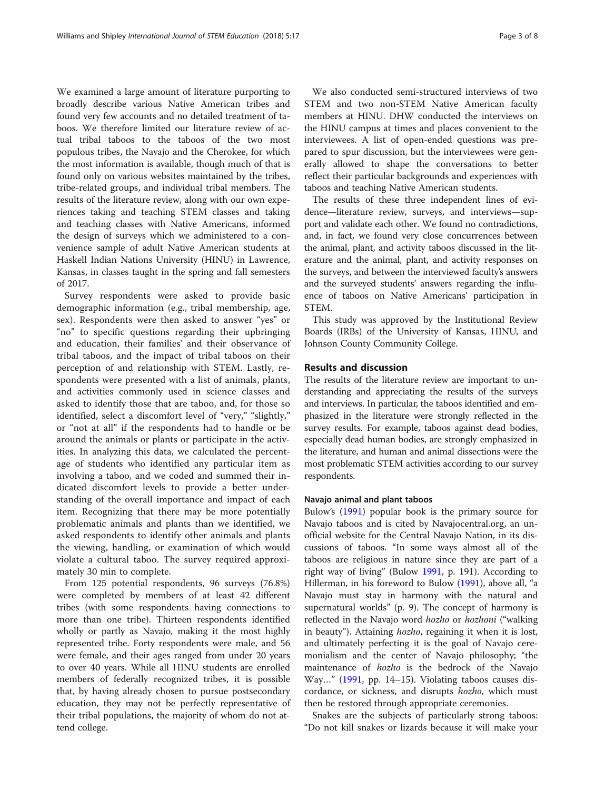We examined a large amount of literature purporting to broadly describe various Native American tribes and found very few accounts and no detailed treatment of taboos. We therefore limited our literature review of actual tribal taboos to the taboos of the two most populous tribes, the Navajo and the Cherokee, for which the most information is available, though much of that is found only on various websites maintained by the tribes, tribe-related groups, and individual tribal members. The results of the literature review, along with our own experiences taking and teaching STEM classes and taking and teaching classes with Native Americans, informed the design of surveys which we administered to a convenience sample of adult Native American students at Haskell Indian Nations University (HINU) in Lawrence, Kansas, in classes taught in the spring and fall semesters of 2017.

Survey respondents were asked to provide basic demographic information (e.g., tribal membership, age, sex). Respondents were then asked to answer "yes" or "no" to specific questions regarding their upbringing and education, their families' and their observance of tribal taboos, and the impact of tribal taboos on their perception of and relationship with STEM. Lastly, respondents were presented with a list of animals, plants, and activities commonly used in science classes and asked to identify those that are taboo, and, for those so identified, select a discomfort level of "very," "slightly," or "not at all" if the respondents had to handle or be around the animals or plants or participate in the activities. In analyzing this data, we calculated the percentage of students who identified any particular item as involving a taboo, and we coded and summed their indicated discomfort levels to provide a better understanding of the overall importance and impact of each item. Recognizing that there may be more potentially problematic animals and plants than we identified, we asked respondents to identify other animals and plants the viewing, handling, or examination of which would violate a cultural taboo. The survey required approximately 30 min to complete.

From 125 potential respondents, 96 surveys (76.8%) were completed by members of at least 42 different tribes (with some respondents having connections to more than one tribe). Thirteen respondents identified wholly or partly as Navajo, making it the most highly represented tribe. Forty respondents were male, and 56 were female, and their ages ranged from under 20 years to over 40 years. While all HINU students are enrolled members of federally recognized tribes, it is possible that, by having already chosen to pursue postsecondary education, they may not be perfectly representative of their tribal populations, the majority of whom do not attend college.

We also conducted semi-structured interviews of two STEM and two non-STEM Native American faculty members at HINU. DHW conducted the interviews on the HINU campus at times and places convenient to the interviewees. A list of open-ended questions was prepared to spur discussion, but the interviewees were generally allowed to shape the conversations to better reflect their particular backgrounds and experiences with taboos and teaching Native American students.

The results of these three independent lines of evidence—literature review, surveys, and interviews—support and validate each other. We found no contradictions, and, in fact, we found very close concurrences between the animal, plant, and activity taboos discussed in the literature and the animal, plant, and activity responses on the surveys, and between the interviewed faculty's answers and the surveyed students' answers regarding the influence of taboos on Native Americans' participation in STEM.

This study was approved by the Institutional Review Boards (IRBs) of the University of Kansas, HINU, and Johnson County Community College.

## Results and discussion

The results of the literature review are important to understanding and appreciating the results of the surveys and interviews. In particular, the taboos identified and emphasized in the literature were strongly reflected in the survey results. For example, taboos against dead bodies, especially dead human bodies, are strongly emphasized in the literature, and human and animal dissections were the most problematic STEM activities according to our survey respondents.

## Navajo animal and plant taboos

Bulow's [\(1991\)](#page-7-0) popular book is the primary source for Navajo taboos and is cited by Navajocentral.org, an unofficial website for the Central Navajo Nation, in its discussions of taboos. "In some ways almost all of the taboos are religious in nature since they are part of a right way of living" (Bulow [1991](#page-7-0), p. 191). According to Hillerman, in his foreword to Bulow ([1991\)](#page-7-0), above all, "a Navajo must stay in harmony with the natural and supernatural worlds" (p. 9). The concept of harmony is reflected in the Navajo word *hozho* or *hozhoni* ("walking in beauty"). Attaining *hozho*, regaining it when it is lost, and ultimately perfecting it is the goal of Navajo ceremonialism and the center of Navajo philosophy; "the maintenance of *hozho* is the bedrock of the Navajo Way…" ([1991](#page-7-0), pp. 14–15). Violating taboos causes discordance, or sickness, and disrupts hozho, which must then be restored through appropriate ceremonies.

Snakes are the subjects of particularly strong taboos: "Do not kill snakes or lizards because it will make your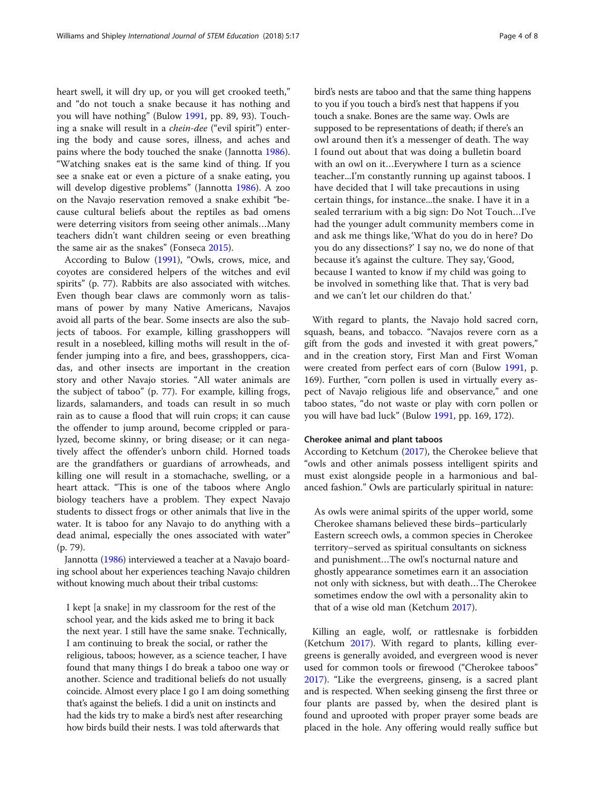heart swell, it will dry up, or you will get crooked teeth," and "do not touch a snake because it has nothing and you will have nothing" (Bulow [1991](#page-7-0), pp. 89, 93). Touching a snake will result in a chein-dee ("evil spirit") entering the body and cause sores, illness, and aches and pains where the body touched the snake (Jannotta [1986](#page-7-0)). "Watching snakes eat is the same kind of thing. If you see a snake eat or even a picture of a snake eating, you will develop digestive problems" (Jannotta [1986](#page-7-0)). A zoo on the Navajo reservation removed a snake exhibit "because cultural beliefs about the reptiles as bad omens were deterring visitors from seeing other animals…Many teachers didn't want children seeing or even breathing the same air as the snakes" (Fonseca [2015\)](#page-7-0).

According to Bulow ([1991](#page-7-0)), "Owls, crows, mice, and coyotes are considered helpers of the witches and evil spirits" (p. 77). Rabbits are also associated with witches. Even though bear claws are commonly worn as talismans of power by many Native Americans, Navajos avoid all parts of the bear. Some insects are also the subjects of taboos. For example, killing grasshoppers will result in a nosebleed, killing moths will result in the offender jumping into a fire, and bees, grasshoppers, cicadas, and other insects are important in the creation story and other Navajo stories. "All water animals are the subject of taboo" (p. 77). For example, killing frogs, lizards, salamanders, and toads can result in so much rain as to cause a flood that will ruin crops; it can cause the offender to jump around, become crippled or paralyzed, become skinny, or bring disease; or it can negatively affect the offender's unborn child. Horned toads are the grandfathers or guardians of arrowheads, and killing one will result in a stomachache, swelling, or a heart attack. "This is one of the taboos where Anglo biology teachers have a problem. They expect Navajo students to dissect frogs or other animals that live in the water. It is taboo for any Navajo to do anything with a dead animal, especially the ones associated with water" (p. 79).

Jannotta ([1986](#page-7-0)) interviewed a teacher at a Navajo boarding school about her experiences teaching Navajo children without knowing much about their tribal customs:

I kept [a snake] in my classroom for the rest of the school year, and the kids asked me to bring it back the next year. I still have the same snake. Technically, I am continuing to break the social, or rather the religious, taboos; however, as a science teacher, I have found that many things I do break a taboo one way or another. Science and traditional beliefs do not usually coincide. Almost every place I go I am doing something that's against the beliefs. I did a unit on instincts and had the kids try to make a bird's nest after researching how birds build their nests. I was told afterwards that

bird's nests are taboo and that the same thing happens to you if you touch a bird's nest that happens if you touch a snake. Bones are the same way. Owls are supposed to be representations of death; if there's an owl around then it's a messenger of death. The way I found out about that was doing a bulletin board with an owl on it…Everywhere I turn as a science teacher...I'm constantly running up against taboos. I have decided that I will take precautions in using certain things, for instance...the snake. I have it in a sealed terrarium with a big sign: Do Not Touch…I've had the younger adult community members come in and ask me things like, 'What do you do in here? Do you do any dissections?' I say no, we do none of that because it's against the culture. They say, 'Good, because I wanted to know if my child was going to be involved in something like that. That is very bad and we can't let our children do that.'

With regard to plants, the Navajo hold sacred corn, squash, beans, and tobacco. "Navajos revere corn as a gift from the gods and invested it with great powers," and in the creation story, First Man and First Woman were created from perfect ears of corn (Bulow [1991](#page-7-0), p. 169). Further, "corn pollen is used in virtually every aspect of Navajo religious life and observance," and one taboo states, "do not waste or play with corn pollen or you will have bad luck" (Bulow [1991](#page-7-0), pp. 169, 172).

## Cherokee animal and plant taboos

According to Ketchum [\(2017\)](#page-7-0), the Cherokee believe that "owls and other animals possess intelligent spirits and must exist alongside people in a harmonious and balanced fashion." Owls are particularly spiritual in nature:

As owls were animal spirits of the upper world, some Cherokee shamans believed these birds–particularly Eastern screech owls, a common species in Cherokee territory–served as spiritual consultants on sickness and punishment…The owl's nocturnal nature and ghostly appearance sometimes earn it an association not only with sickness, but with death…The Cherokee sometimes endow the owl with a personality akin to that of a wise old man (Ketchum [2017](#page-7-0)).

Killing an eagle, wolf, or rattlesnake is forbidden (Ketchum [2017\)](#page-7-0). With regard to plants, killing evergreens is generally avoided, and evergreen wood is never used for common tools or firewood ("Cherokee taboos" [2017](#page-7-0)). "Like the evergreens, ginseng, is a sacred plant and is respected. When seeking ginseng the first three or four plants are passed by, when the desired plant is found and uprooted with proper prayer some beads are placed in the hole. Any offering would really suffice but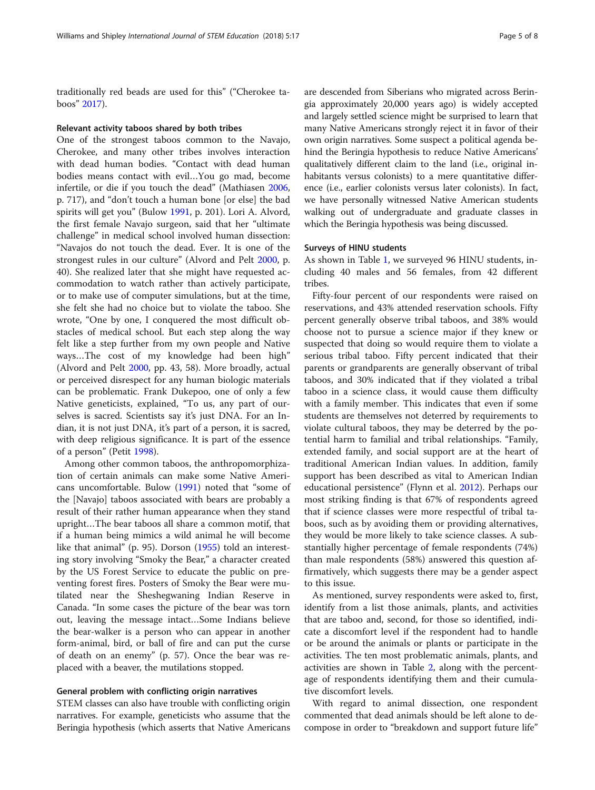traditionally red beads are used for this" ("Cherokee taboos" [2017\)](#page-7-0).

#### Relevant activity taboos shared by both tribes

One of the strongest taboos common to the Navajo, Cherokee, and many other tribes involves interaction with dead human bodies. "Contact with dead human bodies means contact with evil…You go mad, become infertile, or die if you touch the dead" (Mathiasen [2006](#page-7-0), p. 717), and "don't touch a human bone [or else] the bad spirits will get you" (Bulow [1991](#page-7-0), p. 201). Lori A. Alvord, the first female Navajo surgeon, said that her "ultimate challenge" in medical school involved human dissection: "Navajos do not touch the dead. Ever. It is one of the strongest rules in our culture" (Alvord and Pelt [2000,](#page-7-0) p. 40). She realized later that she might have requested accommodation to watch rather than actively participate, or to make use of computer simulations, but at the time, she felt she had no choice but to violate the taboo. She wrote, "One by one, I conquered the most difficult obstacles of medical school. But each step along the way felt like a step further from my own people and Native ways…The cost of my knowledge had been high" (Alvord and Pelt [2000,](#page-7-0) pp. 43, 58). More broadly, actual or perceived disrespect for any human biologic materials can be problematic. Frank Dukepoo, one of only a few Native geneticists, explained, "To us, any part of ourselves is sacred. Scientists say it's just DNA. For an Indian, it is not just DNA, it's part of a person, it is sacred, with deep religious significance. It is part of the essence of a person" (Petit [1998\)](#page-7-0).

Among other common taboos, the anthropomorphization of certain animals can make some Native Americans uncomfortable. Bulow [\(1991\)](#page-7-0) noted that "some of the [Navajo] taboos associated with bears are probably a result of their rather human appearance when they stand upright…The bear taboos all share a common motif, that if a human being mimics a wild animal he will become like that animal" (p. 95). Dorson ([1955](#page-7-0)) told an interesting story involving "Smoky the Bear," a character created by the US Forest Service to educate the public on preventing forest fires. Posters of Smoky the Bear were mutilated near the Sheshegwaning Indian Reserve in Canada. "In some cases the picture of the bear was torn out, leaving the message intact…Some Indians believe the bear-walker is a person who can appear in another form-animal, bird, or ball of fire and can put the curse of death on an enemy" (p. 57). Once the bear was replaced with a beaver, the mutilations stopped.

#### General problem with conflicting origin narratives

STEM classes can also have trouble with conflicting origin narratives. For example, geneticists who assume that the Beringia hypothesis (which asserts that Native Americans are descended from Siberians who migrated across Beringia approximately 20,000 years ago) is widely accepted and largely settled science might be surprised to learn that many Native Americans strongly reject it in favor of their own origin narratives. Some suspect a political agenda behind the Beringia hypothesis to reduce Native Americans' qualitatively different claim to the land (i.e., original inhabitants versus colonists) to a mere quantitative difference (i.e., earlier colonists versus later colonists). In fact, we have personally witnessed Native American students walking out of undergraduate and graduate classes in which the Beringia hypothesis was being discussed.

## Surveys of HINU students

As shown in Table [1,](#page-5-0) we surveyed 96 HINU students, including 40 males and 56 females, from 42 different tribes.

Fifty-four percent of our respondents were raised on reservations, and 43% attended reservation schools. Fifty percent generally observe tribal taboos, and 38% would choose not to pursue a science major if they knew or suspected that doing so would require them to violate a serious tribal taboo. Fifty percent indicated that their parents or grandparents are generally observant of tribal taboos, and 30% indicated that if they violated a tribal taboo in a science class, it would cause them difficulty with a family member. This indicates that even if some students are themselves not deterred by requirements to violate cultural taboos, they may be deterred by the potential harm to familial and tribal relationships. "Family, extended family, and social support are at the heart of traditional American Indian values. In addition, family support has been described as vital to American Indian educational persistence" (Flynn et al. [2012\)](#page-7-0). Perhaps our most striking finding is that 67% of respondents agreed that if science classes were more respectful of tribal taboos, such as by avoiding them or providing alternatives, they would be more likely to take science classes. A substantially higher percentage of female respondents (74%) than male respondents (58%) answered this question affirmatively, which suggests there may be a gender aspect to this issue.

As mentioned, survey respondents were asked to, first, identify from a list those animals, plants, and activities that are taboo and, second, for those so identified, indicate a discomfort level if the respondent had to handle or be around the animals or plants or participate in the activities. The ten most problematic animals, plants, and activities are shown in Table [2,](#page-5-0) along with the percentage of respondents identifying them and their cumulative discomfort levels.

With regard to animal dissection, one respondent commented that dead animals should be left alone to decompose in order to "breakdown and support future life"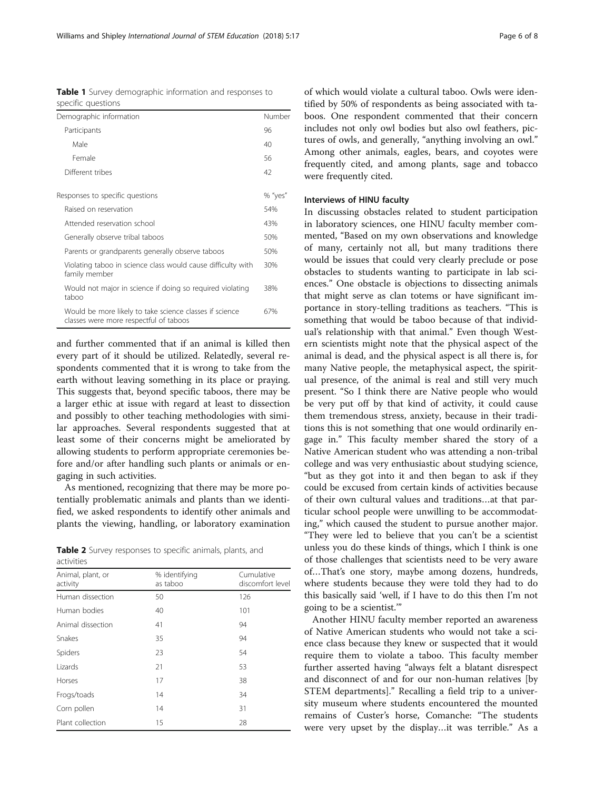<span id="page-5-0"></span>Williams and Shipley International Journal of STEM Education (2018) 5:17 Page 6 of 8

Table 1 Survey demographic information and responses to specific questions

| Demographic information         |                                                                                                   | Number  |
|---------------------------------|---------------------------------------------------------------------------------------------------|---------|
|                                 | Participants                                                                                      | 96      |
|                                 | Male                                                                                              | 40      |
|                                 | Female                                                                                            | 56      |
|                                 | Different tribes                                                                                  | 42      |
| Responses to specific questions |                                                                                                   | % "yes" |
|                                 | Raised on reservation                                                                             | 54%     |
|                                 | Attended reservation school                                                                       | 43%     |
|                                 | Generally observe tribal taboos                                                                   | 50%     |
|                                 | Parents or grandparents generally observe taboos                                                  | 50%     |
|                                 | Violating taboo in science class would cause difficulty with<br>family member                     | 30%     |
|                                 | Would not major in science if doing so required violating<br>taboo                                | 38%     |
|                                 | Would be more likely to take science classes if science<br>classes were more respectful of taboos | 67%     |
|                                 |                                                                                                   |         |

and further commented that if an animal is killed then every part of it should be utilized. Relatedly, several respondents commented that it is wrong to take from the earth without leaving something in its place or praying. This suggests that, beyond specific taboos, there may be a larger ethic at issue with regard at least to dissection and possibly to other teaching methodologies with similar approaches. Several respondents suggested that at least some of their concerns might be ameliorated by allowing students to perform appropriate ceremonies before and/or after handling such plants or animals or engaging in such activities.

As mentioned, recognizing that there may be more potentially problematic animals and plants than we identified, we asked respondents to identify other animals and plants the viewing, handling, or laboratory examination

Table 2 Survey responses to specific animals, plants, and activities

| Animal, plant, or<br>activity | % identifying<br>as taboo | Cumulative<br>discomfort level |
|-------------------------------|---------------------------|--------------------------------|
| Human dissection              | 50                        | 126                            |
| Human bodies                  | 40                        | 101                            |
| Animal dissection             | 41                        | 94                             |
| Snakes                        | 35                        | 94                             |
| Spiders                       | 23                        | 54                             |
| Lizards                       | 21                        | 53                             |
| Horses                        | 17                        | 38                             |
| Frogs/toads                   | 14                        | 34                             |
| Corn pollen                   | 14                        | 31                             |
| Plant collection              | 15                        | 28                             |

of which would violate a cultural taboo. Owls were identified by 50% of respondents as being associated with taboos. One respondent commented that their concern includes not only owl bodies but also owl feathers, pictures of owls, and generally, "anything involving an owl." Among other animals, eagles, bears, and coyotes were frequently cited, and among plants, sage and tobacco were frequently cited.

## Interviews of HINU faculty

In discussing obstacles related to student participation in laboratory sciences, one HINU faculty member commented, "Based on my own observations and knowledge of many, certainly not all, but many traditions there would be issues that could very clearly preclude or pose obstacles to students wanting to participate in lab sciences." One obstacle is objections to dissecting animals that might serve as clan totems or have significant importance in story-telling traditions as teachers. "This is something that would be taboo because of that individual's relationship with that animal." Even though Western scientists might note that the physical aspect of the animal is dead, and the physical aspect is all there is, for many Native people, the metaphysical aspect, the spiritual presence, of the animal is real and still very much present. "So I think there are Native people who would be very put off by that kind of activity, it could cause them tremendous stress, anxiety, because in their traditions this is not something that one would ordinarily engage in." This faculty member shared the story of a Native American student who was attending a non-tribal college and was very enthusiastic about studying science, "but as they got into it and then began to ask if they could be excused from certain kinds of activities because of their own cultural values and traditions…at that particular school people were unwilling to be accommodating," which caused the student to pursue another major. "They were led to believe that you can't be a scientist unless you do these kinds of things, which I think is one of those challenges that scientists need to be very aware of…That's one story, maybe among dozens, hundreds, where students because they were told they had to do this basically said 'well, if I have to do this then I'm not going to be a scientist.'"

Another HINU faculty member reported an awareness of Native American students who would not take a science class because they knew or suspected that it would require them to violate a taboo. This faculty member further asserted having "always felt a blatant disrespect and disconnect of and for our non-human relatives [by STEM departments]." Recalling a field trip to a university museum where students encountered the mounted remains of Custer's horse, Comanche: "The students were very upset by the display…it was terrible." As a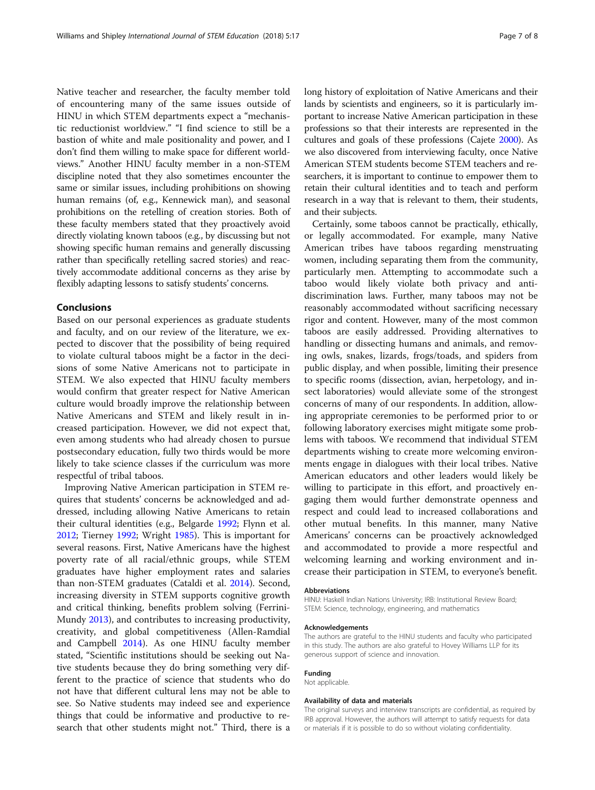Native teacher and researcher, the faculty member told of encountering many of the same issues outside of HINU in which STEM departments expect a "mechanistic reductionist worldview." "I find science to still be a bastion of white and male positionality and power, and I don't find them willing to make space for different worldviews." Another HINU faculty member in a non-STEM discipline noted that they also sometimes encounter the same or similar issues, including prohibitions on showing human remains (of, e.g., Kennewick man), and seasonal prohibitions on the retelling of creation stories. Both of these faculty members stated that they proactively avoid directly violating known taboos (e.g., by discussing but not showing specific human remains and generally discussing rather than specifically retelling sacred stories) and reactively accommodate additional concerns as they arise by flexibly adapting lessons to satisfy students' concerns.

#### Conclusions

Based on our personal experiences as graduate students and faculty, and on our review of the literature, we expected to discover that the possibility of being required to violate cultural taboos might be a factor in the decisions of some Native Americans not to participate in STEM. We also expected that HINU faculty members would confirm that greater respect for Native American culture would broadly improve the relationship between Native Americans and STEM and likely result in increased participation. However, we did not expect that, even among students who had already chosen to pursue postsecondary education, fully two thirds would be more likely to take science classes if the curriculum was more respectful of tribal taboos.

Improving Native American participation in STEM requires that students' concerns be acknowledged and addressed, including allowing Native Americans to retain their cultural identities (e.g., Belgarde [1992](#page-7-0); Flynn et al. [2012](#page-7-0); Tierney [1992](#page-7-0); Wright [1985](#page-7-0)). This is important for several reasons. First, Native Americans have the highest poverty rate of all racial/ethnic groups, while STEM graduates have higher employment rates and salaries than non-STEM graduates (Cataldi et al. [2014\)](#page-7-0). Second, increasing diversity in STEM supports cognitive growth and critical thinking, benefits problem solving (Ferrini-Mundy [2013\)](#page-7-0), and contributes to increasing productivity, creativity, and global competitiveness (Allen-Ramdial and Campbell [2014\)](#page-7-0). As one HINU faculty member stated, "Scientific institutions should be seeking out Native students because they do bring something very different to the practice of science that students who do not have that different cultural lens may not be able to see. So Native students may indeed see and experience things that could be informative and productive to research that other students might not." Third, there is a long history of exploitation of Native Americans and their lands by scientists and engineers, so it is particularly important to increase Native American participation in these professions so that their interests are represented in the cultures and goals of these professions (Cajete [2000\)](#page-7-0). As we also discovered from interviewing faculty, once Native American STEM students become STEM teachers and researchers, it is important to continue to empower them to retain their cultural identities and to teach and perform research in a way that is relevant to them, their students, and their subjects.

Certainly, some taboos cannot be practically, ethically, or legally accommodated. For example, many Native American tribes have taboos regarding menstruating women, including separating them from the community, particularly men. Attempting to accommodate such a taboo would likely violate both privacy and antidiscrimination laws. Further, many taboos may not be reasonably accommodated without sacrificing necessary rigor and content. However, many of the most common taboos are easily addressed. Providing alternatives to handling or dissecting humans and animals, and removing owls, snakes, lizards, frogs/toads, and spiders from public display, and when possible, limiting their presence to specific rooms (dissection, avian, herpetology, and insect laboratories) would alleviate some of the strongest concerns of many of our respondents. In addition, allowing appropriate ceremonies to be performed prior to or following laboratory exercises might mitigate some problems with taboos. We recommend that individual STEM departments wishing to create more welcoming environments engage in dialogues with their local tribes. Native American educators and other leaders would likely be willing to participate in this effort, and proactively engaging them would further demonstrate openness and respect and could lead to increased collaborations and other mutual benefits. In this manner, many Native Americans' concerns can be proactively acknowledged and accommodated to provide a more respectful and welcoming learning and working environment and increase their participation in STEM, to everyone's benefit.

#### Abbreviations

HINU: Haskell Indian Nations University; IRB: Institutional Review Board; STEM: Science, technology, engineering, and mathematics

#### Acknowledgements

The authors are grateful to the HINU students and faculty who participated in this study. The authors are also grateful to Hovey Williams LLP for its generous support of science and innovation.

#### Funding

Not applicable.

#### Availability of data and materials

The original surveys and interview transcripts are confidential, as required by IRB approval. However, the authors will attempt to satisfy requests for data or materials if it is possible to do so without violating confidentiality.